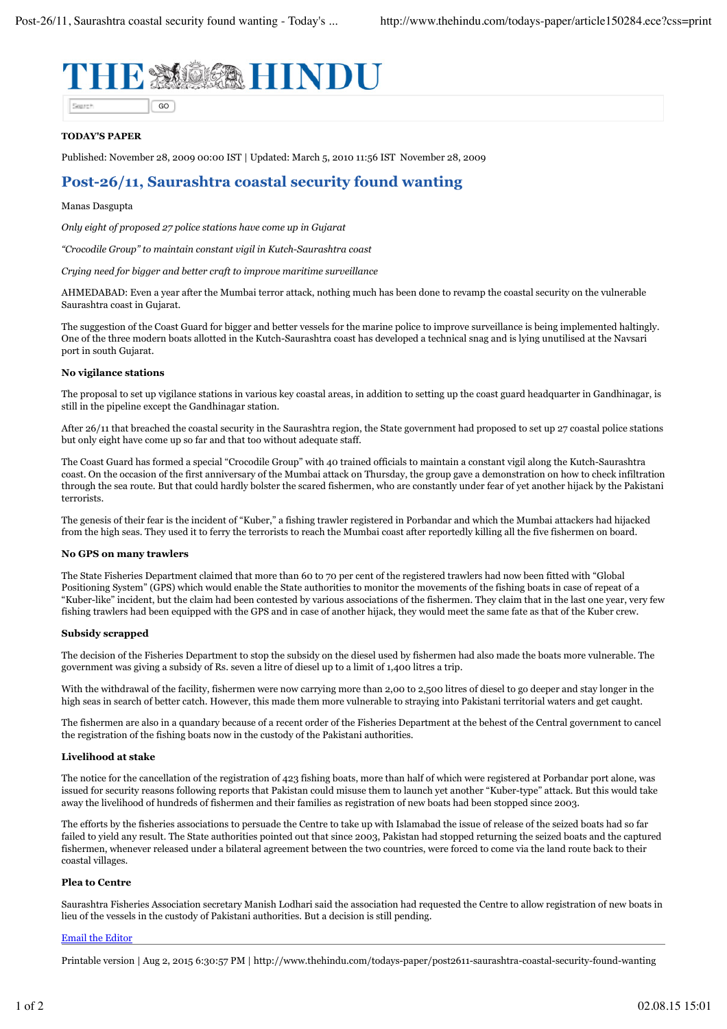

## **TODAY'S PAPER**

Published: November 28, 2009 00:00 IST | Updated: March 5, 2010 11:56 IST November 28, 2009

# **Post-26/11, Saurashtra coastal security found wanting**

## Manas Dasgupta

*Only eight of proposed 27 police stations have come up in Gujarat*

*"Crocodile Group" to maintain constant vigil in Kutch-Saurashtra coast*

*Crying need for bigger and better craft to improve maritime surveillance*

AHMEDABAD: Even a year after the Mumbai terror attack, nothing much has been done to revamp the coastal security on the vulnerable Saurashtra coast in Gujarat.

The suggestion of the Coast Guard for bigger and better vessels for the marine police to improve surveillance is being implemented haltingly. One of the three modern boats allotted in the Kutch-Saurashtra coast has developed a technical snag and is lying unutilised at the Navsari port in south Gujarat.

## **No vigilance stations**

The proposal to set up vigilance stations in various key coastal areas, in addition to setting up the coast guard headquarter in Gandhinagar, is still in the pipeline except the Gandhinagar station.

After 26/11 that breached the coastal security in the Saurashtra region, the State government had proposed to set up 27 coastal police stations but only eight have come up so far and that too without adequate staff.

The Coast Guard has formed a special "Crocodile Group" with 40 trained officials to maintain a constant vigil along the Kutch-Saurashtra coast. On the occasion of the first anniversary of the Mumbai attack on Thursday, the group gave a demonstration on how to check infiltration through the sea route. But that could hardly bolster the scared fishermen, who are constantly under fear of yet another hijack by the Pakistani terrorists.

The genesis of their fear is the incident of "Kuber," a fishing trawler registered in Porbandar and which the Mumbai attackers had hijacked from the high seas. They used it to ferry the terrorists to reach the Mumbai coast after reportedly killing all the five fishermen on board.

#### **No GPS on many trawlers**

The State Fisheries Department claimed that more than 60 to 70 per cent of the registered trawlers had now been fitted with "Global Positioning System" (GPS) which would enable the State authorities to monitor the movements of the fishing boats in case of repeat of a "Kuber-like" incident, but the claim had been contested by various associations of the fishermen. They claim that in the last one year, very few fishing trawlers had been equipped with the GPS and in case of another hijack, they would meet the same fate as that of the Kuber crew.

#### **Subsidy scrapped**

The decision of the Fisheries Department to stop the subsidy on the diesel used by fishermen had also made the boats more vulnerable. The government was giving a subsidy of Rs. seven a litre of diesel up to a limit of 1,400 litres a trip.

With the withdrawal of the facility, fishermen were now carrying more than 2,00 to 2,500 litres of diesel to go deeper and stay longer in the high seas in search of better catch. However, this made them more vulnerable to straying into Pakistani territorial waters and get caught.

The fishermen are also in a quandary because of a recent order of the Fisheries Department at the behest of the Central government to cancel the registration of the fishing boats now in the custody of the Pakistani authorities.

### **Livelihood at stake**

The notice for the cancellation of the registration of 423 fishing boats, more than half of which were registered at Porbandar port alone, was issued for security reasons following reports that Pakistan could misuse them to launch yet another "Kuber-type" attack. But this would take away the livelihood of hundreds of fishermen and their families as registration of new boats had been stopped since 2003.

The efforts by the fisheries associations to persuade the Centre to take up with Islamabad the issue of release of the seized boats had so far failed to yield any result. The State authorities pointed out that since 2003, Pakistan had stopped returning the seized boats and the captured fishermen, whenever released under a bilateral agreement between the two countries, were forced to come via the land route back to their coastal villages.

#### **Plea to Centre**

Saurashtra Fisheries Association secretary Manish Lodhari said the association had requested the Centre to allow registration of new boats in lieu of the vessels in the custody of Pakistani authorities. But a decision is still pending.

#### Email the Editor

Printable version | Aug 2, 2015 6:30:57 PM | http://www.thehindu.com/todays-paper/post2611-saurashtra-coastal-security-found-wanting